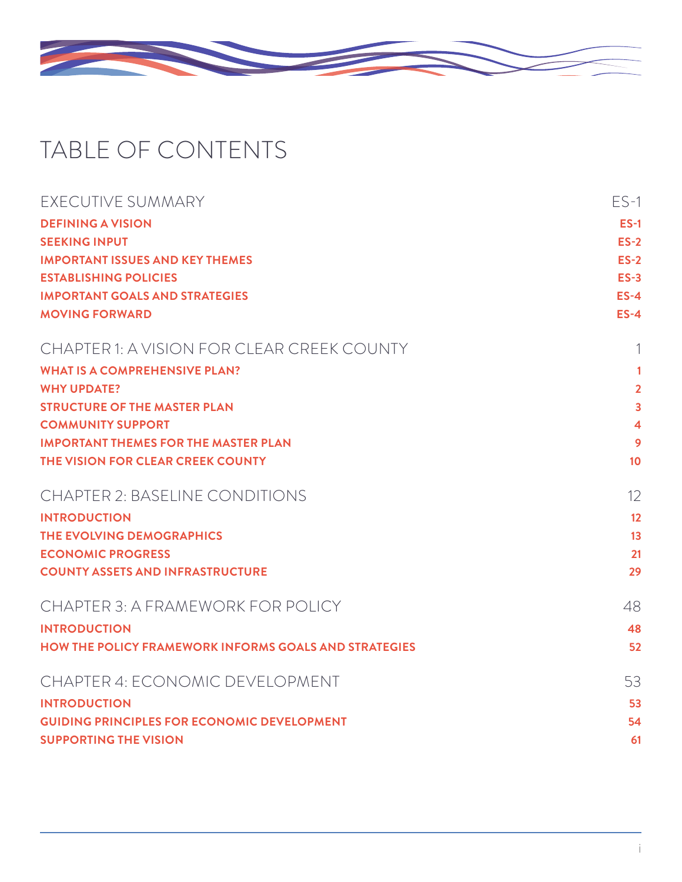

## TABLE OF CONTENTS

| EXECUTIVE SUMMARY                                            | $ES-1$         |
|--------------------------------------------------------------|----------------|
| <b>DEFINING A VISION</b>                                     | $ES-1$         |
| <b>SEEKING INPUT</b>                                         | $ES-2$         |
| <b>IMPORTANT ISSUES AND KEY THEMES</b>                       | $ES-2$         |
| <b>ESTABLISHING POLICIES</b>                                 | $ES-3$         |
| <b>IMPORTANT GOALS AND STRATEGIES</b>                        | $ES-4$         |
| <b>MOVING FORWARD</b>                                        | $ES-4$         |
| CHAPTER 1: A VISION FOR CLEAR CREEK COUNTY                   | 1              |
| <b>WHAT IS A COMPREHENSIVE PLAN?</b>                         | 1              |
| <b>WHY UPDATE?</b>                                           | $\overline{2}$ |
| <b>STRUCTURE OF THE MASTER PLAN</b>                          | 3              |
| <b>COMMUNITY SUPPORT</b>                                     | 4              |
| <b>IMPORTANT THEMES FOR THE MASTER PLAN</b>                  | 9              |
| THE VISION FOR CLEAR CREEK COUNTY                            | 10             |
| <b>CHAPTER 2: BASELINE CONDITIONS</b>                        | 12             |
| <b>INTRODUCTION</b>                                          | 12             |
| THE EVOLVING DEMOGRAPHICS                                    | 13             |
| <b>ECONOMIC PROGRESS</b>                                     | 21             |
| <b>COUNTY ASSETS AND INFRASTRUCTURE</b>                      | 29             |
| CHAPTER 3: A FRAMEWORK FOR POLICY                            | 48             |
| <b>INTRODUCTION</b>                                          | 48             |
| <b>HOW THE POLICY FRAMEWORK INFORMS GOALS AND STRATEGIES</b> | 52             |
| CHAPTER 4: ECONOMIC DEVELOPMENT                              | 53             |
| <b>INTRODUCTION</b>                                          | 53             |
| <b>GUIDING PRINCIPLES FOR ECONOMIC DEVELOPMENT</b>           | 54             |
| <b>SUPPORTING THE VISION</b>                                 | 61             |
|                                                              |                |